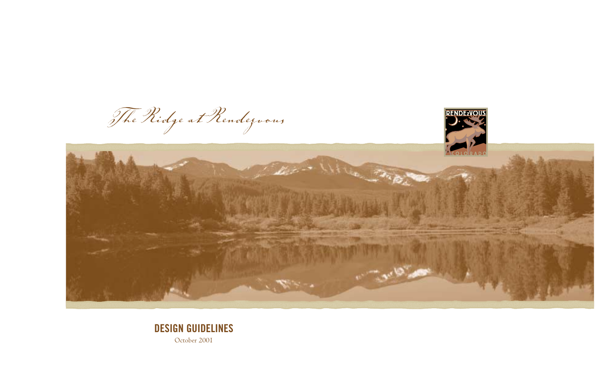

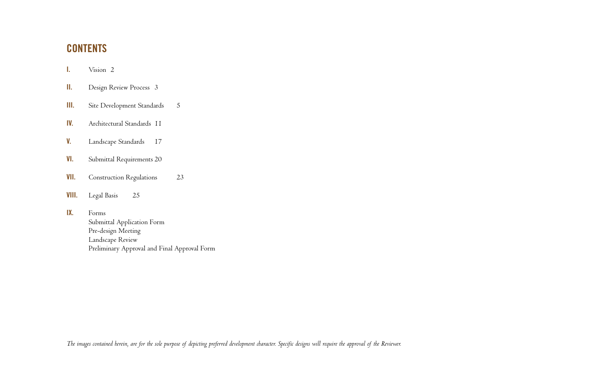# **CONTENTS**

- **I.** Vision 2
- **II.** Design Review Process 3
- **III.** Site Development Standards 5
- **IV.** Architectural Standards 11
- **V.** Landscape Standards 17
- **VI.** Submittal Requirements 20
- **VII.** Construction Regulations 23
- **VIII.** Legal Basis 25
- **IX.** Forms

Submittal Application Form Pre-design Meeting Landscape Review Preliminary Approval and Final Approval Form

*The images contained herein, are for the sole purpose of depicting preferred development character. Specific designs will require the approval of the Reviewer.*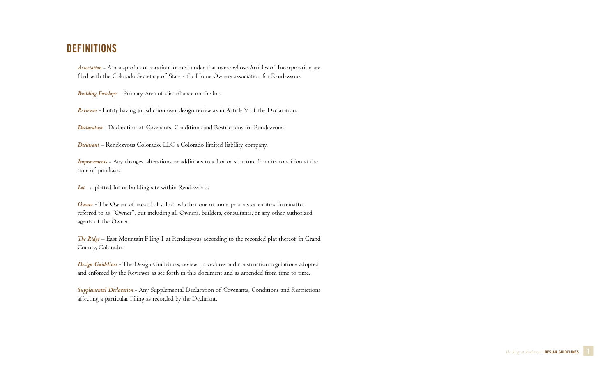# **DEFINITIONS**

*Association* - A non-profit corporation formed under that name whose Articles of Incorporation are filed with the Colorado Secretary of State - the Home Owners association for Rendezvous.

*Building Envelope* – Primary Area of disturbance on the lot.

*Reviewer* - Entity having jurisdiction over design review as in Article V of the Declaration.

*Declaration* - Declaration of Covenants, Conditions and Restrictions for Rendezvous.

*Declarant* – Rendezvous Colorado, LLC a Colorado limited liability company.

*Improvements* - Any changes, alterations or additions to a Lot or structure from its condition at the time of purchase.

*Lot* - a platted lot or building site within Rendezvous.

*Owner* - The Owner of record of a Lot, whether one or more persons or entities, hereinafter referred to as "Owner", but including all Owners, builders, consultants, or any other authorized agents of the Owner.

*The Ridge* – East Mountain Filing 1 at Rendezvous according to the recorded plat thereof in Grand County, Colorado.

*Design Guidelines* - The Design Guidelines, review procedures and construction regulations adopted and enforced by the Reviewer as set forth in this document and as amended from time to time.

*Supplemental Declaration* - Any Supplemental Declaration of Covenants, Conditions and Restrictions affecting a particular Filing as recorded by the Declarant.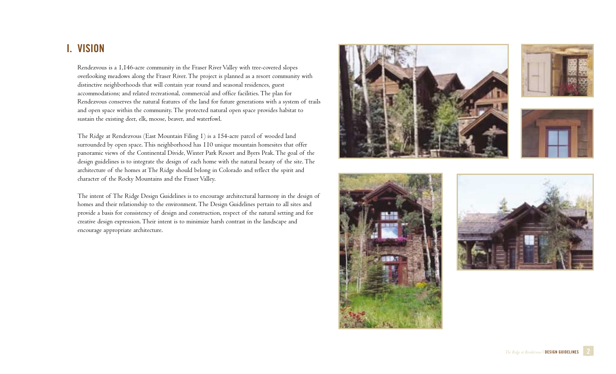# **I. VISION**

Rendezvous is a 1,146-acre community in the Fraser River Valley with tree-covered slopes overlooking meadows along the Fraser River. The project is planned as a resort community with distinctive neighborhoods that will contain year round and seasonal residences, guest accommodations; and related recreational, commercial and office facilities. The plan for Rendezvous conserves the natural features of the land for future generations with a system of trails and open space within the community. The protected natural open space provides habitat to sustain the existing deer, elk, moose, beaver, and waterfowl.

The Ridge at Rendezvous (East Mountain Filing 1) is a 154-acre parcel of wooded land surrounded by open space. This neighborhood has 110 unique mountain homesites that offer panoramic views of the Continental Divide, Winter Park Resort and Byers Peak. The goal of the design guidelines is to integrate the design of each home with the natural beauty of the site. The architecture of the homes at The Ridge should belong in Colorado and reflect the spirit and character of the Rocky Mountains and the Fraser Valley.

The intent of The Ridge Design Guidelines is to encourage architectural harmony in the design of homes and their relationship to the environment. The Design Guidelines pertain to all sites and provide a basis for consistency of design and construction, respect of the natural setting and for creative design expression. Their intent is to minimize harsh contrast in the landscape and encourage appropriate architecture.









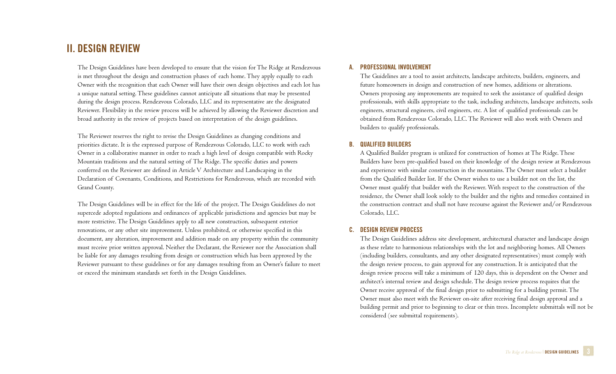# **II. DESIGN REVIEW**

The Design Guidelines have been developed to ensure that the vision for The Ridge at Rendezvous is met throughout the design and construction phases of each home. They apply equally to each Owner with the recognition that each Owner will have their own design objectives and each lot has a unique natural setting. These guidelines cannot anticipate all situations that may be presented during the design process. Rendezvous Colorado, LLC and its representative are the designated Reviewer. Flexibility in the review process will be achieved by allowing the Reviewer discretion and broad authority in the review of projects based on interpretation of the design guidelines.

The Reviewer reserves the right to revise the Design Guidelines as changing conditions and priorities dictate. It is the expressed purpose of Rendezvous Colorado, LLC to work with each Owner in a collaborative manner in order to reach a high level of design compatible with Rocky Mountain traditions and the natural setting of The Ridge. The specific duties and powers conferred on the Reviewer are defined in Article V Architecture and Landscaping in the Declaration of Covenants, Conditions, and Restrictions for Rendezvous, which are recorded with Grand County.

The Design Guidelines will be in effect for the life of the project. The Design Guidelines do not supercede adopted regulations and ordinances of applicable jurisdictions and agencies but may be more restrictive. The Design Guidelines apply to all new construction, subsequent exterior renovations, or any other site improvement. Unless prohibited, or otherwise specified in this document, any alteration, improvement and addition made on any property within the community must receive prior written approval. Neither the Declarant, the Reviewer nor the Association shall be liable for any damages resulting from design or construction which has been approved by the Reviewer pursuant to these guidelines or for any damages resulting from an Owner's failure to meet or exceed the minimum standards set forth in the Design Guidelines.

# **A. PROFESSIONAL INVOLVEMENT**

The Guidelines are a tool to assist architects, landscape architects, builders, engineers, and future homeowners in design and construction of new homes, additions or alterations. Owners proposing any improvements are required to seek the assistance of qualified design professionals, with skills appropriate to the task, including architects, landscape architects, soils engineers, structural engineers, civil engineers, etc. A list of qualified professionals can be obtained from Rendezvous Colorado, LLC. The Reviewer will also work with Owners and builders to qualify professionals.

### **B. QUALIFIED BUILDERS**

A Qualified Builder program is utilized for construction of homes at The Ridge. These Builders have been pre-qualified based on their knowledge of the design review at Rendezvous and experience with similar construction in the mountains. The Owner must select a builder from the Qualified Builder list. If the Owner wishes to use a builder not on the list, the Owner must qualify that builder with the Reviewer. With respect to the construction of the residence, the Owner shall look solely to the builder and the rights and remedies contained in the construction contract and shall not have recourse against the Reviewer and/or Rendezvous Colorado, LLC.

### **C. DESIGN REVIEW PROCESS**

The Design Guidelines address site development, architectural character and landscape design as these relate to harmonious relationships with the lot and neighboring homes. All Owners (including builders, consultants, and any other designated representatives) must comply with the design review process, to gain approval for any construction. It is anticipated that the design review process will take a minimum of 120 days, this is dependent on the Owner and architect's internal review and design schedule. The design review process requires that the Owner receive approval of the final design prior to submitting for a building permit. The Owner must also meet with the Reviewer on-site after receiving final design approval and a building permit and prior to beginning to clear or thin trees. Incomplete submittals will not be considered (see submittal requirements).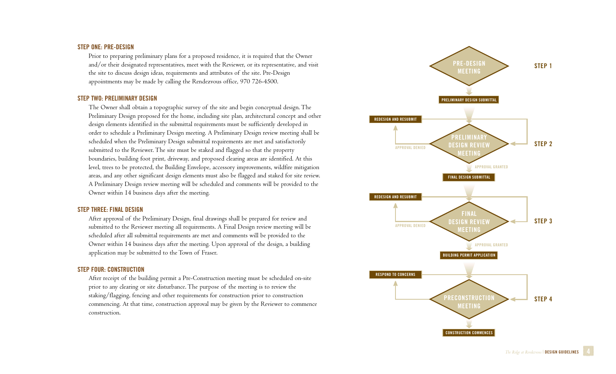### **STEP ONE: PRE-DESIGN**

Prior to preparing preliminary plans for a proposed residence, it is required that the Owner and/or their designated representatives, meet with the Reviewer, or its representative, and visit the site to discuss design ideas, requirements and attributes of the site. Pre-Design appointments may be made by calling the Rendezvous office, 970 726-4500.

#### **STEP TWO: PRELIMINARY DESIGN**

The Owner shall obtain a topographic survey of the site and begin conceptual design. The Preliminary Design proposed for the home, including site plan, architectural concept and other design elements identified in the submittal requirements must be sufficiently developed in order to schedule a Preliminary Design meeting. A Preliminary Design review meeting shall be scheduled when the Preliminary Design submittal requirements are met and satisfactorily submitted to the Reviewer. The site must be staked and flagged so that the property boundaries, building foot print, driveway, and proposed clearing areas are identified. At this level, trees to be protected, the Building Envelope, accessory improvements, wildfire mitigation areas, and any other significant design elements must also be flagged and staked for site review. A Preliminary Design review meeting will be scheduled and comments will be provided to the Owner within 14 business days after the meeting.

#### **STEP THREE: FINAL DESIGN**

After approval of the Preliminary Design, final drawings shall be prepared for review and submitted to the Reviewer meeting all requirements. A Final Design review meeting will be scheduled after all submittal requirements are met and comments will be provided to the Owner within 14 business days after the meeting. Upon approval of the design, a building application may be submitted to the Town of Fraser.

### **STEP FOUR: CONSTRUCTION**

After receipt of the building permit a Pre-Construction meeting must be scheduled on-site prior to any clearing or site disturbance. The purpose of the meeting is to review the staking/flagging, fencing and other requirements for construction prior to construction commencing. At that time, construction approval may be given by the Reviewer to commence construction.

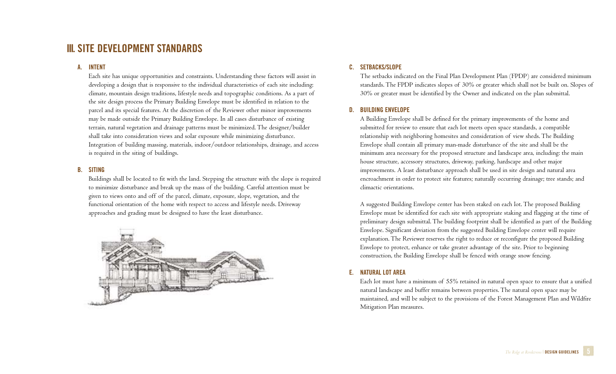# **III. SITE DEVELOPMENT STANDARDS**

# **A. INTENT**

Each site has unique opportunities and constraints. Understanding these factors will assist in developing a design that is responsive to the individual characteristics of each site including: climate, mountain design traditions, lifestyle needs and topographic conditions. As a part of the site design process the Primary Building Envelope must be identified in relation to the parcel and its special features. At the discretion of the Reviewer other minor improvements may be made outside the Primary Building Envelope. In all cases disturbance of existing terrain, natural vegetation and drainage patterns must be minimized. The designer/builder shall take into consideration views and solar exposure while minimizing disturbance. Integration of building massing, materials, indoor/outdoor relationships, drainage, and access is required in the siting of buildings.

# **B. SITING**

Buildings shall be located to fit with the land. Stepping the structure with the slope is required to minimize disturbance and break up the mass of the building. Careful attention must be given to views onto and off of the parcel, climate, exposure, slope, vegetation, and the functional orientation of the home with respect to access and lifestyle needs. Driveway approaches and grading must be designed to have the least disturbance.



# **C. SETBACKS/SLOPE**

The setbacks indicated on the Final Plan Development Plan (FPDP) are considered minimum standards. The FPDP indicates slopes of 30% or greater which shall not be built on. Slopes of 30% or greater must be identified by the Owner and indicated on the plan submittal.

# **D. BUILDING ENVELOPE**

A Building Envelope shall be defined for the primary improvements of the home and submitted for review to ensure that each lot meets open space standards, a compatible relationship with neighboring homesites and consideration of view sheds. The Building Envelope shall contain all primary man-made disturbance of the site and shall be the minimum area necessary for the proposed structure and landscape area, including: the main house structure, accessory structures, driveway, parking, hardscape and other major improvements. A least disturbance approach shall be used in site design and natural area encroachment in order to protect site features; naturally occurring drainage; tree stands; and climactic orientations.

A suggested Building Envelope center has been staked on each lot. The proposed Building Envelope must be identified for each site with appropriate staking and flagging at the time of preliminary design submittal. The building footprint shall be identified as part of the Building Envelope. Significant deviation from the suggested Building Envelope center will require explanation. The Reviewer reserves the right to reduce or reconfigure the proposed Building Envelope to protect, enhance or take greater advantage of the site. Prior to beginning construction, the Building Envelope shall be fenced with orange snow fencing.

# **E. NATURAL LOT AREA**

Each lot must have a minimum of 55% retained in natural open space to ensure that a unified natural landscape and buffer remains between properties. The natural open space may be maintained, and will be subject to the provisions of the Forest Management Plan and Wildfire Mitigation Plan measures.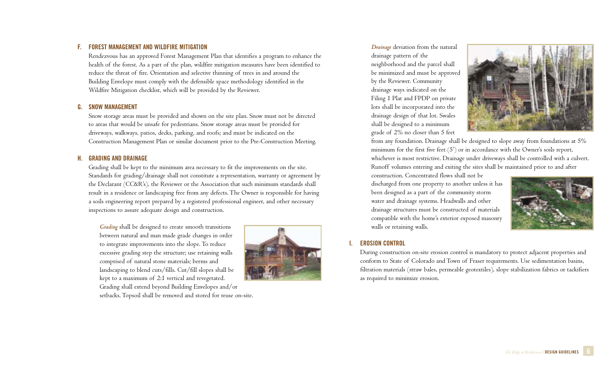# **F. FOREST MANAGEMENT AND WILDFIRE MITIGATION**

Rendezvous has an approved Forest Management Plan that identifies a program to enhance the health of the forest. As a part of the plan, wildfire mitigation measures have been identified to reduce the threat of fire. Orientation and selective thinning of trees in and around the Building Envelope must comply with the defensible space methodology identified in the Wildfire Mitigation checklist, which will be provided by the Reviewer.

#### **G. SNOW MANAGEMENT**

Snow storage areas must be provided and shown on the site plan. Snow must not be directed to areas that would be unsafe for pedestrians. Snow storage areas must be provided for driveways, walkways, patios, decks, parking, and roofs; and must be indicated on the Construction Management Plan or similar document prior to the Pre-Construction Meeting.

# **H. GRADING AND DRAINAGE**

Grading shall be kept to the minimum area necessary to fit the improvements on the site. Standards for grading/drainage shall not constitute a representation, warranty or agreement by the Declarant (CC&R's), the Reviewer or the Association that such minimum standards shall result in a residence or landscaping free from any defects. The Owner is responsible for having a soils engineering report prepared by a registered professional engineer, and other necessary inspections to assure adequate design and construction.

*Grading* shall be designed to create smooth transitions between natural and man made grade changes in order to integrate improvements into the slope. To reduce excessive grading step the structure; use retaining walls comprised of natural stone materials; berms and landscaping to blend cuts/fills. Cut/fill slopes shall be kept to a maximum of 2:1 vertical and revegetated. Grading shall extend beyond Building Envelopes and/or



setbacks. Topsoil shall be removed and stored for reuse on-site.

*Drainage* deviation from the natural drainage pattern of the neighborhood and the parcel shall be minimized and must be approved by the Reviewer. Community drainage ways indicated on the Filing 1 Plat and FPDP on private lots shall be incorporated into the drainage design of that lot. Swales shall be designed to a minimum grade of 2% no closer than 5 feet



from any foundation. Drainage shall be designed to slope away from foundations at 5% minimum for the first five feet (5') or in accordance with the Owner's soils report, whichever is most restrictive. Drainage under driveways shall be controlled with a culvert. Runoff volumes entering and exiting the sites shall be maintained prior to and after

construction. Concentrated flows shall not be discharged from one property to another unless it has been designed as a part of the community storm water and drainage systems. Headwalls and other drainage structures must be constructed of materials compatible with the home's exterior exposed masonry walls or retaining walls.



# **I. EROSION CONTROL**

During construction on-site erosion control is mandatory to protect adjacent properties and conform to State of Colorado and Town of Fraser requirements. Use sedimentation basins, filtration materials (straw bales, permeable geotextiles), slope stabilization fabrics or tackifiers as required to minimize erosion.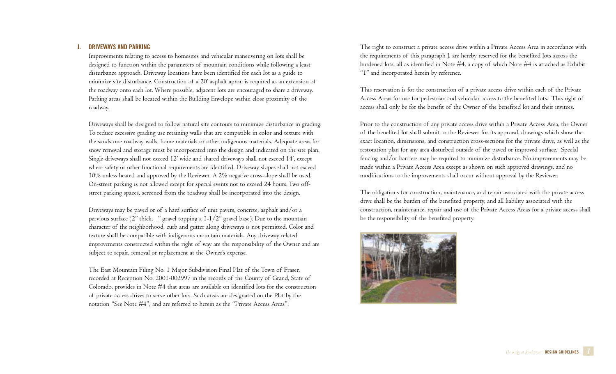#### **J. DRIVEWAYS AND PARKING**

Improvements relating to access to homesites and vehicular maneuvering on lots shall be designed to function within the parameters of mountain conditions while following a least disturbance approach. Driveway locations have been identified for each lot as a guide to minimize site disturbance. Construction of a 20' asphalt apron is required as an extension of the roadway onto each lot. Where possible, adjacent lots are encouraged to share a driveway. Parking areas shall be located within the Building Envelope within close proximity of the roadway.

Driveways shall be designed to follow natural site contours to minimize disturbance in grading. To reduce excessive grading use retaining walls that are compatible in color and texture with the sandstone roadway walls, home materials or other indigenous materials. Adequate areas for snow removal and storage must be incorporated into the design and indicated on the site plan. Single driveways shall not exceed 12' wide and shared driveways shall not exceed 14', except where safety or other functional requirements are identified. Driveway slopes shall not exceed 10% unless heated and approved by the Reviewer. A 2% negative cross-slope shall be used. On-street parking is not allowed except for special events not to exceed 24 hours. Two offstreet parking spaces, screened from the roadway shall be incorporated into the design.

Driveways may be paved or of a hard surface of unit pavers, concrete, asphalt and/or a pervious surface (2" thick, \_" gravel topping a 1-1/2" gravel base). Due to the mountain character of the neighborhood, curb and gutter along driveways is not permitted. Color and texture shall be compatible with indigenous mountain materials. Any driveway related improvements constructed within the right of way are the responsibility of the Owner and are subject to repair, removal or replacement at the Owner's expense.

The East Mountain Filing No. 1 Major Subdivision Final Plat of the Town of Fraser, recorded at Reception No. 2001-002997 in the records of the County of Grand, State of Colorado, provides in Note #4 that areas are available on identified lots for the construction of private access drives to serve other lots. Such areas are designated on the Plat by the notation "See Note #4", and are referred to herein as the "Private Access Areas".

The right to construct a private access drive within a Private Access Area in accordance with the requirements of this paragraph J. are hereby reserved for the benefited lots across the burdened lots, all as identified in Note #4, a copy of which Note #4 is attached as Exhibit "1" and incorporated herein by reference.

This reservation is for the construction of a private access drive within each of the Private Access Areas for use for pedestrian and vehicular access to the benefited lots. This right of access shall only be for the benefit of the Owner of the benefited lot and their invitees.

Prior to the construction of any private access drive within a Private Access Area, the Owner of the benefited lot shall submit to the Reviewer for its approval, drawings which show the exact location, dimensions, and construction cross-sections for the private drive, as well as the restoration plan for any area disturbed outside of the paved or improved surface. Special fencing and/or barriers may be required to minimize disturbance. No improvements may be made within a Private Access Area except as shown on such approved drawings, and no modifications to the improvements shall occur without approval by the Reviewer.

The obligations for construction, maintenance, and repair associated with the private access drive shall be the burden of the benefited property, and all liability associated with the construction, maintenance, repair and use of the Private Access Areas for a private access shall be the responsibility of the benefited property.

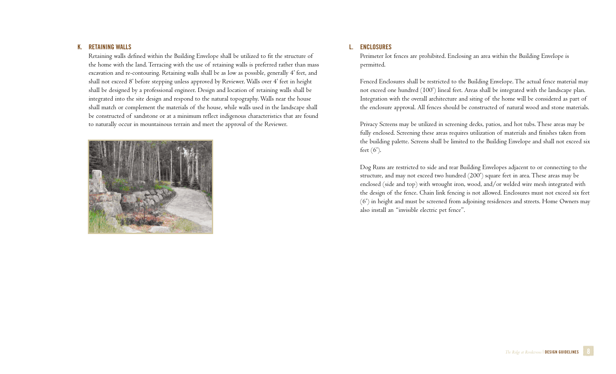#### **K. RETAINING WALLS**

Retaining walls defined within the Building Envelope shall be utilized to fit the structure of the home with the land. Terracing with the use of retaining walls is preferred rather than mass excavation and re-contouring. Retaining walls shall be as low as possible, generally 4' feet, and shall not exceed 8' before stepping unless approved by Reviewer. Walls over 4' feet in height shall be designed by a professional engineer. Design and location of retaining walls shall be integrated into the site design and respond to the natural topography. Walls near the house shall match or complement the materials of the house, while walls used in the landscape shall be constructed of sandstone or at a minimum reflect indigenous characteristics that are found to naturally occur in mountainous terrain and meet the approval of the Reviewer.



# **L. ENCLOSURES**

Perimeter lot fences are prohibited. Enclosing an area within the Building Envelope is permitted.

Fenced Enclosures shall be restricted to the Building Envelope. The actual fence material may not exceed one hundred (100') lineal feet. Areas shall be integrated with the landscape plan. Integration with the overall architecture and siting of the home will be considered as part of the enclosure approval. All fences should be constructed of natural wood and stone materials.

Privacy Screens may be utilized in screening decks, patios, and hot tubs. These areas may be fully enclosed. Screening these areas requires utilization of materials and finishes taken from the building palette. Screens shall be limited to the Building Envelope and shall not exceed six feet (6').

Dog Runs are restricted to side and rear Building Envelopes adjacent to or connecting to the structure, and may not exceed two hundred (200') square feet in area. These areas may be enclosed (side and top) with wrought iron, wood, and/or welded wire mesh integrated with the design of the fence. Chain link fencing is not allowed. Enclosures must not exceed six feet (6') in height and must be screened from adjoining residences and streets. Home Owners may also install an "invisible electric pet fence".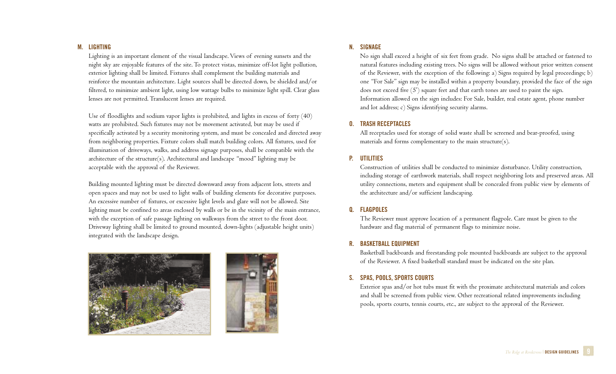### **M. LIGHTING**

Lighting is an important element of the visual landscape. Views of evening sunsets and the night sky are enjoyable features of the site. To protect vistas, minimize off-lot light pollution, exterior lighting shall be limited. Fixtures shall complement the building materials and reinforce the mountain architecture. Light sources shall be directed down, be shielded and/or filtered, to minimize ambient light, using low wattage bulbs to minimize light spill. Clear glass lenses are not permitted. Translucent lenses are required.

Use of floodlights and sodium vapor lights is prohibited, and lights in excess of forty (40) watts are prohibited. Such fixtures may not be movement activated, but may be used if specifically activated by a security monitoring system, and must be concealed and directed away from neighboring properties. Fixture colors shall match building colors. All fixtures, used for illumination of driveways, walks, and address signage purposes, shall be compatible with the architecture of the structure(s). Architectural and landscape "mood" lighting may be acceptable with the approval of the Reviewer.

Building mounted lighting must be directed downward away from adjacent lots, streets and open spaces and may not be used to light walls of building elements for decorative purposes. An excessive number of fixtures, or excessive light levels and glare will not be allowed. Site lighting must be confined to areas enclosed by walls or be in the vicinity of the main entrance, with the exception of safe passage lighting on walkways from the street to the front door. Driveway lighting shall be limited to ground mounted, down-lights (adjustable height units) integrated with the landscape design.





# **N. SIGNAGE**

No sign shall exceed a height of six feet from grade. No signs shall be attached or fastened to natural features including existing trees. No signs will be allowed without prior written consent of the Reviewer, with the exception of the following: a) Signs required by legal proceedings; b) one "For Sale" sign may be installed within a property boundary, provided the face of the sign does not exceed five (5') square feet and that earth tones are used to paint the sign. Information allowed on the sign includes: For Sale, builder, real estate agent, phone number and lot address; c) Signs identifying security alarms.

# **O. TRASH RECEPTACLES**

All receptacles used for storage of solid waste shall be screened and bear-proofed, using materials and forms complementary to the main structure(s).

# **P. UTILITIES**

Construction of utilities shall be conducted to minimize disturbance. Utility construction, including storage of earthwork materials, shall respect neighboring lots and preserved areas. All utility connections, meters and equipment shall be concealed from public view by elements of the architecture and/or sufficient landscaping.

# **Q. FLAGPOLES**

The Reviewer must approve location of a permanent flagpole. Care must be given to the hardware and flag material of permanent flags to minimize noise.

# **R. BASKETBALL EQUIPMENT**

Basketball backboards and freestanding pole mounted backboards are subject to the approval of the Reviewer. A fixed basketball standard must be indicated on the site plan.

# **S. SPAS, POOLS, SPORTS COURTS**

Exterior spas and/or hot tubs must fit with the proximate architectural materials and colors and shall be screened from public view. Other recreational related improvements including pools, sports courts, tennis courts, etc., are subject to the approval of the Reviewer.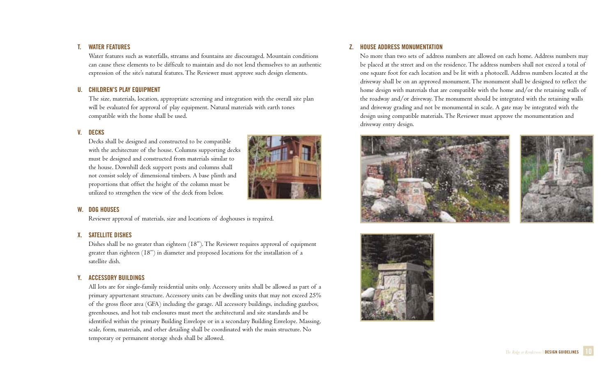# **T. WATER FEATURES**

Water features such as waterfalls, streams and fountains are discouraged. Mountain conditions can cause these elements to be difficult to maintain and do not lend themselves to an authentic expression of the site's natural features. The Reviewer must approve such design elements.

# **U. CHILDREN'S PLAY EQUIPMENT**

The size, materials, location, appropriate screening and integration with the overall site plan will be evaluated for approval of play equipment. Natural materials with earth tones compatible with the home shall be used.

# **V. DECKS**

Decks shall be designed and constructed to be compatible with the architecture of the house. Columns supporting decks must be designed and constructed from materials similar to the house. Downhill deck support posts and columns shall not consist solely of dimensional timbers. A base plinth and proportions that offset the height of the column must be utilized to strengthen the view of the deck from below.



# **W. DOG HOUSES**

Reviewer approval of materials, size and locations of doghouses is required.

# **X. SATELLITE DISHES**

Dishes shall be no greater than eighteen (18"). The Reviewer requires approval of equipment greater than eighteen (18") in diameter and proposed locations for the installation of a satellite dish.

# **Y. ACCESSORY BUILDINGS**

All lots are for single-family residential units only. Accessory units shall be allowed as part of a primary appurtenant structure. Accessory units can be dwelling units that may not exceed 25% of the gross floor area (GFA) including the garage. All accessory buildings, including gazebos, greenhouses, and hot tub enclosures must meet the architectural and site standards and be identified within the primary Building Envelope or in a secondary Building Envelope. Massing, scale, form, materials, and other detailing shall be coordinated with the main structure. No temporary or permanent storage sheds shall be allowed.

# **Z. HOUSE ADDRESS MONUMENTATION**

No more than two sets of address numbers are allowed on each home. Address numbers may be placed at the street and on the residence. The address numbers shall not exceed a total of one square foot for each location and be lit with a photocell. Address numbers located at the driveway shall be on an approved monument. The monument shall be designed to reflect the home design with materials that are compatible with the home and/or the retaining walls of the roadway and/or driveway. The monument should be integrated with the retaining walls and driveway grading and not be monumental in scale. A gate may be integrated with the design using compatible materials. The Reviewer must approve the monumentation and driveway entry design.





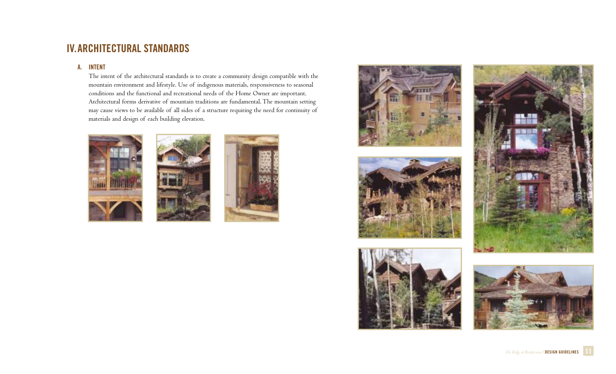# **IV.ARCHITECTURAL STANDARDS**

# **A. INTENT**

The intent of the architectural standards is to create a community design compatible with the mountain environment and lifestyle. Use of indigenous materials, responsiveness to seasonal conditions and the functional and recreational needs of the Home Owner are important. Architectural forms derivative of mountain traditions are fundamental. The mountain setting may cause views to be available of all sides of a structure requiring the need for continuity of materials and design of each building elevation.















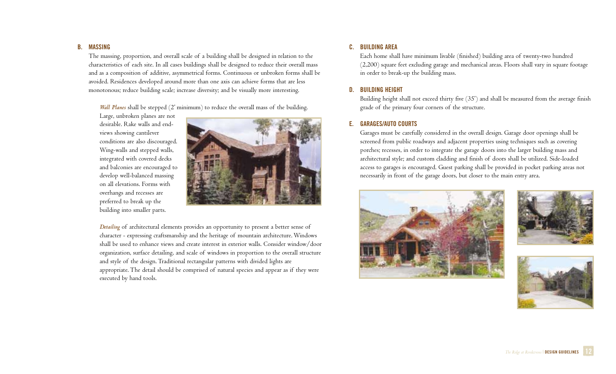#### **B. MASSING**

The massing, proportion, and overall scale of a building shall be designed in relation to the characteristics of each site. In all cases buildings shall be designed to reduce their overall mass and as a composition of additive, asymmetrical forms. Continuous or unbroken forms shall be avoided. Residences developed around more than one axis can achieve forms that are less monotonous; reduce building scale; increase diversity; and be visually more interesting.

*Wall Planes* shall be stepped (2' minimum) to reduce the overall mass of the building.

Large, unbroken planes are not desirable. Rake walls and endviews showing cantilever conditions are also discouraged. Wing-walls and stepped walls, integrated with covered decks and balconies are encouraged to develop well-balanced massing on all elevations. Forms with overhangs and recesses are preferred to break up the building into smaller parts.



*Detailing* of architectural elements provides an opportunity to present a better sense of character - expressing craftsmanship and the heritage of mountain architecture. Windows shall be used to enhance views and create interest in exterior walls. Consider window/door organization, surface detailing, and scale of windows in proportion to the overall structure and style of the design. Traditional rectangular patterns with divided lights are appropriate. The detail should be comprised of natural species and appear as if they were executed by hand tools.

# **C. BUILDING AREA**

Each home shall have minimum livable (finished) building area of twenty-two hundred (2,200) square feet excluding garage and mechanical areas. Floors shall vary in square footage in order to break-up the building mass.

# **D. BUILDING HEIGHT**

Building height shall not exceed thirty five (35') and shall be measured from the average finish grade of the primary four corners of the structure.

# **E. GARAGES/AUTO COURTS**

Garages must be carefully considered in the overall design. Garage door openings shall be screened from public roadways and adjacent properties using techniques such as covering porches; recesses, in order to integrate the garage doors into the larger building mass and architectural style; and custom cladding and finish of doors shall be utilized. Side-loaded access to garages is encouraged. Guest parking shall be provided in pocket parking areas not necessarily in front of the garage doors, but closer to the main entry area.





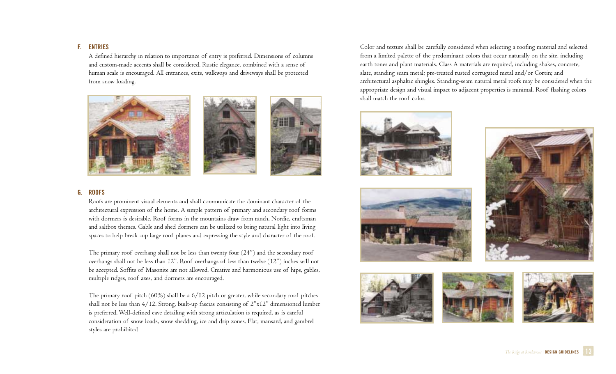### **F. ENTRIES**

A defined hierarchy in relation to importance of entry is preferred. Dimensions of columns and custom-made accents shall be considered. Rustic elegance, combined with a sense of human scale is encouraged. All entrances, exits, walkways and driveways shall be protected from snow loading.



# **G. ROOFS**

Roofs are prominent visual elements and shall communicate the dominant character of the architectural expression of the home. A simple pattern of primary and secondary roof forms with dormers is desirable. Roof forms in the mountains draw from ranch, Nordic, craftsman and saltbox themes. Gable and shed dormers can be utilized to bring natural light into living spaces to help break -up large roof planes and expressing the style and character of the roof.

The primary roof overhang shall not be less than twenty four (24") and the secondary roof overhangs shall not be less than 12". Roof overhangs of less than twelve (12") inches will not be accepted. Soffits of Masonite are not allowed. Creative and harmonious use of hips, gables, multiple ridges, roof axes, and dormers are encouraged.

The primary roof pitch (60%) shall be a 6/12 pitch or greater, while secondary roof pitches shall not be less than 4/12. Strong, built-up fascias consisting of 2"x12" dimensioned lumber is preferred. Well-defined eave detailing with strong articulation is required, as is careful consideration of snow loads, snow shedding, ice and drip zones. Flat, mansard, and gambrel styles are prohibited

Color and texture shall be carefully considered when selecting a roofing material and selected from a limited palette of the predominant colors that occur naturally on the site, including earth tones and plant materials. Class A materials are required, including shakes, concrete, slate, standing seam metal; pre-treated rusted corrugated metal and/or Cortin; and architectural asphaltic shingles. Standing-seam natural metal roofs may be considered when the appropriate design and visual impact to adjacent properties is minimal. Roof flashing colors shall match the roof color.







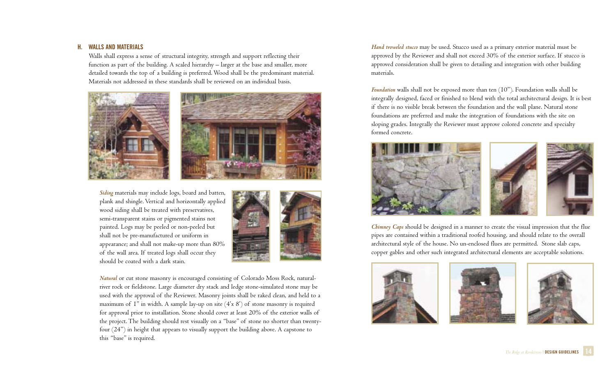# **H. WALLS AND MATERIALS**

Walls shall express a sense of structural integrity, strength and support reflecting their function as part of the building. A scaled hierarchy – larger at the base and smaller, more detailed towards the top of a building is preferred. Wood shall be the predominant material. Materials not addressed in these standards shall be reviewed on an individual basis.



*Siding* materials may include logs, board and batten, plank and shingle. Vertical and horizontally applied wood siding shall be treated with preservatives, semi-transparent stains or pigmented stains not painted. Logs may be peeled or non-peeled but shall not be pre-manufactured or uniform in appearance; and shall not make-up more than 80% of the wall area. If treated logs shall occur they should be coated with a dark stain.



*Natural* or cut stone masonry is encouraged consisting of Colorado Moss Rock, naturalriver rock or fieldstone. Large diameter dry stack and ledge stone-simulated stone may be used with the approval of the Reviewer. Masonry joints shall be raked clean, and held to a maximum of 1" in width. A sample lay-up on site (4'x 8') of stone masonry is required for approval prior to installation. Stone should cover at least 20% of the exterior walls of the project. The building should rest visually on a "base" of stone no shorter than twentyfour (24") in height that appears to visually support the building above. A capstone to this "base" is required.

*Hand troweled stucco* may be used. Stucco used as a primary exterior material must be approved by the Reviewer and shall not exceed 30% of the exterior surface. If stucco is approved consideration shall be given to detailing and integration with other building materials.

*Foundation* walls shall not be exposed more than ten (10"). Foundation walls shall be integrally designed, faced or finished to blend with the total architectural design. It is best if there is no visible break between the foundation and the wall plane. Natural stone foundations are preferred and make the integration of foundations with the site on sloping grades. Integrally the Reviewer must approve colored concrete and specialty formed concrete.



*Chimney Caps* should be designed in a manner to create the visual impression that the flue pipes are contained within a traditional roofed housing, and should relate to the overall architectural style of the house. No un-enclosed flues are permitted. Stone slab caps, copper gables and other such integrated architectural elements are acceptable solutions.





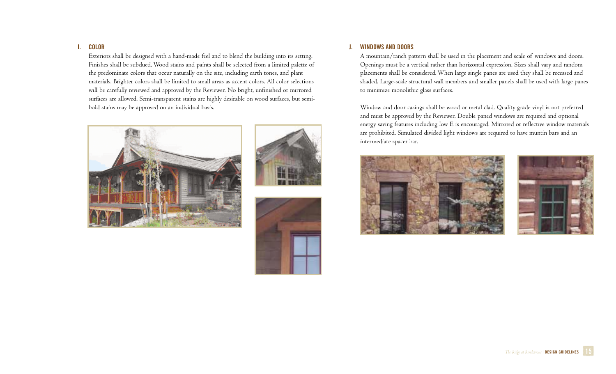# **I. COLOR**

Exteriors shall be designed with a hand-made feel and to blend the building into its setting. Finishes shall be subdued. Wood stains and paints shall be selected from a limited palette of the predominate colors that occur naturally on the site, including earth tones, and plant materials. Brighter colors shall be limited to small areas as accent colors. All color selections will be carefully reviewed and approved by the Reviewer. No bright, unfinished or mirrored surfaces are allowed. Semi-transparent stains are highly desirable on wood surfaces, but semibold stains may be approved on an individual basis.







# **J. WINDOWS AND DOORS**

A mountain/ranch pattern shall be used in the placement and scale of windows and doors. Openings must be a vertical rather than horizontal expression. Sizes shall vary and random placements shall be considered. When large single panes are used they shall be recessed and shaded. Large-scale structural wall members and smaller panels shall be used with large panes to minimize monolithic glass surfaces.

Window and door casings shall be wood or metal clad. Quality grade vinyl is not preferred and must be approved by the Reviewer. Double paned windows are required and optional energy saving features including low E is encouraged. Mirrored or reflective window materials are prohibited. Simulated divided light windows are required to have muntin bars and an intermediate spacer bar.





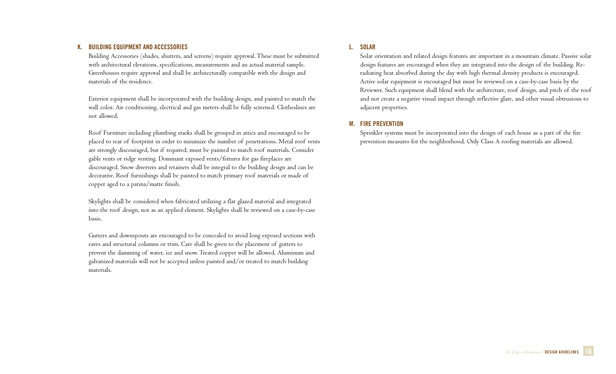### **K. BUILDING EQUIPMENT AND ACCESSORIES**

Building Accessories (shades, shutters, and screens) require approval. These must be submitted with architectural elevations, specifications, measurements and an actual material sample. Greenhouses require approval and shall be architecturally compatible with the design and materials of the residence.

Exterior equipment shall be incorporated with the building design, and painted to match the wall color. Air conditioning, electrical and gas meters shall be fully screened. Clotheslines are not allowed.

Roof Furniture including plumbing stacks shall be grouped in attics and encouraged to be placed to rear of footprint in order to minimize the number of penetrations. Metal roof vents are strongly discouraged, but if required, must be painted to match roof materials. Consider gable vents or ridge venting. Dominant exposed vents/fixtures for gas fireplaces are discouraged. Snow diverters and retainers shall be integral to the building design and can be decorative. Roof furnishings shall be painted to match primary roof materials or made of copper aged to a patina/matte finish.

Skylights shall be considered when fabricated utilizing a flat glazed material and integrated into the roof design, not as an applied element. Skylights shall be reviewed on a case-by-case basis.

Gutters and downspouts are encouraged to be concealed to avoid long exposed sections with eaves and structural columns or trim. Care shall be given to the placement of gutters to prevent the damming of water, ice and snow. Treated copper will be allowed. Aluminum and galvanized materials will not be accepted unless painted and/or treated to match building materials.

# **L. SOLAR**

Solar orientation and related design features are important in a mountain climate. Passive solar design features are encouraged when they are integrated into the design of the building. Reradiating heat absorbed during the day with high thermal density products is encouraged. Active solar equipment is encouraged but must be reviewed on a case-by-case basis by the Reviewer. Such equipment shall blend with the architecture, roof design, and pitch of the roof and not create a negative visual impact through reflective glare, and other visual obtrusions to adjacent properties.

# **M. FIRE PREVENTION**

Sprinkler systems must be incorporated into the design of each house as a part of the fire prevention measures for the neighborhood. Only Class A roofing materials are allowed.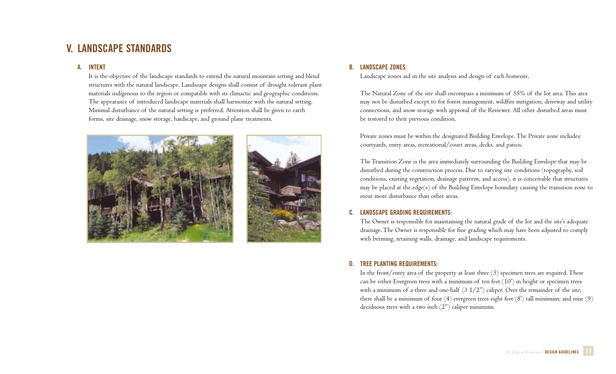# **V. LANDSCAPE STANDARDS**

# **A. INTENT**

It is the objective of the landscape standards to extend the natural mountain setting and blend structures with the natural landscape. Landscape designs shall consist of drought tolerant plant materials indigenous to the region or compatible with its climactic and geographic conditions. The appearance of introduced landscape materials shall harmonize with the natural setting. Minimal disturbance of the natural setting is preferred. Attention shall be given to earth forms, site drainage, snow storage, hardscape, and ground plane treatments.





# **B. LANDSCAPE ZONES**

Landscape zones aid in the site analysis and design of each homesite.

The Natural Zone of the site shall encompass a minimum of 55% of the lot area. This area may not be disturbed except to for forest management, wildfire mitigation, driveway and utility connections, and snow storage with approval of the Reviewer. All other disturbed areas must be restored to their previous condition.

Private zones must be within the designated Building Envelope. The Private zone includes: courtyards, entry areas, recreational/court areas, decks, and patios.

The Transition Zone is the area immediately surrounding the Building Envelope that may be disturbed during the construction process. Due to varying site conditions (topography, soil conditions, existing vegetation, drainage patterns, and access), it is conceivable that structures may be placed at the edge(s) of the Building Envelope boundary causing the transition zone to incur more disturbance than other areas.

# **C. LANDSCAPE GRADING REQUIREMENTS:**

The Owner is responsible for maintaining the natural grade of the lot and the site's adequate drainage. The Owner is responsible for fine grading which may have been adjusted to comply with berming, retaining walls, drainage, and landscape requirements.

# **D. TREE PLANTING REQUIREMENTS:**

In the front/entry area of the property at least three (3) specimen trees are required. These can be either Evergreen trees with a minimum of ten feet (10') in height or specimen trees with a minimum of a three and one-half  $(3\ 1/2")$  caliper. Over the remainder of the site, there shall be a minimum of four (4) evergreen trees eight feet (8') tall minimum; and nine (9) deciduous trees with a two inch (2") caliper minimum.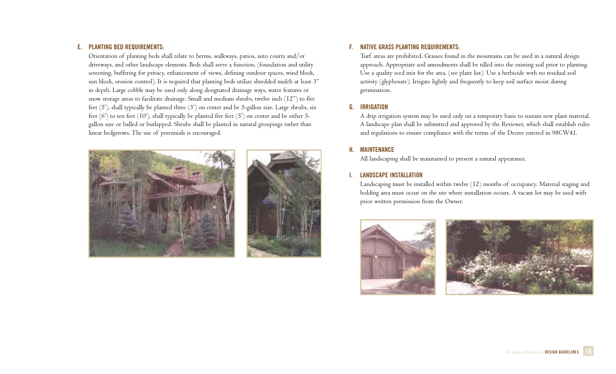# **E. PLANTING BED REQUIREMENTS:**

Orientation of planting beds shall relate to berms, walkways, patios, auto courts and/or driveways, and other landscape elements. Beds shall serve a function, (foundation and utility screening, buffering for privacy, enhancement of views, defining outdoor spaces, wind block, sun block, erosion control). It is required that planting beds utilize shredded mulch at least 3" in depth. Large cobble may be used only along designated drainage ways, water features or snow storage areas to facilitate drainage. Small and medium shrubs, twelve inch (12") to five feet (5'), shall typically be planted three (3') on center and be 5-gallon size. Large shrubs, six feet (6') to ten feet (10'), shall typically be planted five feet (5') on center and be either 5 gallon size or balled or burlapped. Shrubs shall be planted in natural groupings rather than linear hedgerows. The use of perennials is encouraged.





# **F. NATIVE GRASS PLANTING REQUIREMENTS:**

Turf areas are prohibited. Grasses found in the mountains can be used in a natural design approach. Appropriate soil amendments shall be tilled into the existing soil prior to planting. Use a quality seed mix for the area. (see plant list). Use a herbicide with no residual soil activity (glyphosate). Irrigate lightly and frequently to keep soil surface moist during germination.

# **G. IRRIGATION**

A drip irrigation system may be used only on a temporary basis to sustain new plant material. A landscape plan shall be submitted and approved by the Reviewer, which shall establish rules and regulations to ensure compliance with the terms of the Decree entered in 98CW41.

# **H. MAINTENANCE**

All landscaping shall be maintained to present a natural appearance.

# **I. LANDSCAPE INSTALLATION**

Landscaping must be installed within twelve (12) months of occupancy. Material staging and holding area must occur on the site where installation occurs. A vacant lot may be used with prior written permission from the Owner.



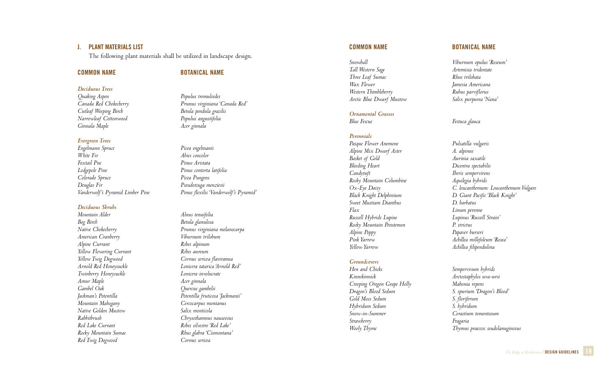# **J. PLANT MATERIALS LIST**

The following plant materials shall be utilized in landscape design.

#### **COMMON NAME** BOTANICAL NAME

*Deciduous Trees Quaking Aspen Populus tremuloides Cutleaf Weeping Birch Betula pendula gracilis Narrowleaf Cottonwood Ginnala Maple Acer ginnala*

#### *Evergreen Trees*

*Engelmann Spruce Picea engelmanii Foxtail Pne Pinus Aristata Colorado Spruce Picea Pungens*

# *Deciduous Shrubs*

*Bog Birch Betula glanulosa American Cranberry Alpine Currant* Ribes alpinum *Yellow Flowering Currant Ribes aureum Arnold Red Honeysuckle Twinberry Honeysuckle Lonicera involucrate Amur Maple Acer ginnala Gambel Oak Quercus gambelii Mountain Mahogany Cercocarpus montanus Native Golden Mustow Salix monticola Red Lake Currant Ribes silvestre 'Red Lake' Rocky Mountain Sumac Rhus glabra 'Cismontana' Red Twig Dogwood Cornus sericea*

*Canada Red Chokecherry Prunus virginiana 'Canada Red'*

*Abies concolor Lodgepole Pine Pinus contorta latifolia Douglas Fir Pseudotsuga menziesii Vanderwolf's Pyramid Limber Pine Pinus flexilis 'Vanderwolf's Pyramid'*

*Mountain Alder Alnus tenuifolia Native Chokecherry Prunus virginiana melanocarpa Yellow Twig Dogwood Cornus sericea flaviramea Jackman's Potentilla Potentilla fruticosa 'Jackmanii' Rabbitbrush Chrysothamnus nauseosus*

*Snowball Viburnum opulus 'Roseum' Tall Western Sage Artemisia tridentate Three Leaf Sumac Wax Flower Jamesia Americana Western Thimbleberry Rubus parviflorus Arctic Blue Dwarf Mustow Salix purpurea 'Nana'*

#### *Ornamental Grasses*

*Blue Fescue Festuca glauca*

#### *Perennials*

*Pasque Flower Anemone Pulsatilla vulgaris Alpine Mix Dwarf Aster A. alpinus Basket of Gold Aurinia saxatile Bleeding Heart Dicentra spectabilis Rocky Mountain Columbine Aquilegia hybrids Sweet Mustiam Dianthus D. barbatus Russell Hybrids Lupine Lupinus 'Russell Strain' Rocky Mountain Penstemon P. strictus Alpine Poppy Papaver burseri Yellow Yarrow Achillea filipendulina*

# *Groundcovers*

*Hen and Chicks Sempervivum hybrids Creeping Oregon Grape Holly Mahonia repens Gold Moss Sedum S. floriferum Hybridum Sedum S. hybridum Snow-in-Summer Cerastium tomentosum Strawberry Fragaria* 

#### **COMMON NAME** BOTANICAL NAME

*Candytuft Iberis sempervirens Ox-Eye Daisy C. leucanthemum: Leucanthemum Vulgare Black Knight Delphinium D. Giant Pacific 'Black Knight' Flax Linum perenne Pink Yarrow Achillea millefoleum 'Rosea'*

*Kinnikinnick Arctostaphylos uva-ursi Dragon's Blood Sedum S. spurium 'Dragon's Blood' Wooly Thyme Thymus praecox seudolanuginosus*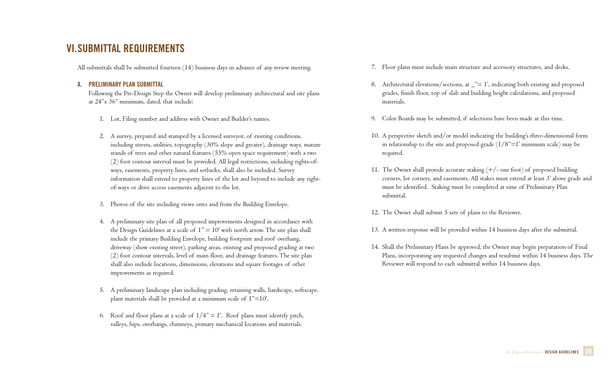# **VI.SUBMITTAL REQUIREMENTS**

All submittals shall be submitted fourteen (14) business days in advance of any review meeting.

# **A. PRELIMINARY PLAN SUBMITTAL**

Following the Pre-Design Step the Owner will develop preliminary architectural and site plans at 24"x 36" minimum, dated, that include:

- 1. Lot, Filing number and address with Owner and Builder's names.
- 2. A survey, prepared and stamped by a licensed surveyor, of existing conditions, including streets, utilities, topography (30% slope and greater), drainage ways, mature stands of trees and other natural features (55% open space requirement) with a two (2) foot contour interval must be provided. All legal restrictions, including rights-ofways, easements, property lines, and setbacks, shall also be included. Survey information shall extend to property lines of the lot and beyond to include any rightof-ways or drive access easements adjacent to the lot.
- 3. Photos of the site including views onto and from the Building Envelope.
- 4. A preliminary site plan of all proposed improvements designed in accordance with the Design Guidelines at a scale of  $I'' = I0'$  with north arrow. The site plan shall include the primary Building Envelope, building footprint and roof overhang, driveway (show existing street), parking areas, existing and proposed grading at two (2) foot contour intervals, level of main floor, and drainage features. The site plan shall also include locations, dimensions, elevations and square footages of other improvements as required.
- 5. A preliminary landscape plan including grading, retaining walls, hardscape, softscape, plant materials shall be provided at a minimum scale of 1"=10'.
- 6. Roof and floor plans at a scale of  $1/4" = 1'$ . Roof plans must identify pitch, valleys, hips, overhangs, chimneys, primary mechanical locations and materials.
- 7. Floor plans must include main structure and accessory structures, and decks.
- 8. Architectural elevations/sections, at  $\frac{m}{n} = 1$ , indicating both existing and proposed grades, finish floor, top of slab and building height calculations, and proposed materials.
- 9. Color Boards may be submitted, if selections have been made at this time.
- 10. A perspective sketch and/or model indicating the building's three-dimensional form in relationship to the site and proposed grade  $(1/8" = 1'$  minimum scale) may be required.
- 11. The Owner shall provide accurate staking (+/- one foot) of proposed building corners, lot corners, and easements. All stakes must extend at least 3' above grade and must be identified. Staking must be completed at time of Preliminary Plan submittal.
- 12. The Owner shall submit 5 sets of plans to the Reviewer.
- 13. A written response will be provided within 14 business days after the submittal.
- 14. Shall the Preliminary Plans be approved, the Owner may begin preparation of Final Plans, incorporating any requested changes and resubmit within 14 business days. The Reviewer will respond to each submittal within 14 business days.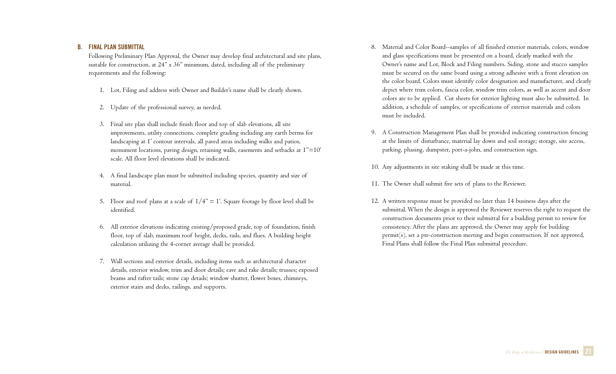### **B. FINAL PLAN SUBMITTAL**

Following Preliminary Plan Approval, the Owner may develop final architectural and site plans, suitable for construction, at 24" x 36" minimum, dated, including all of the preliminary requirements and the following:

- 1. Lot, Filing and address with Owner and Builder's name shall be clearly shown.
- 2. Update of the professional survey, as needed.
- 3. Final site plan shall include finish floor and top of slab elevations, all site improvements, utility connections, complete grading including any earth berms for landscaping at 1' contour intervals, all paved areas including walks and patios, monument locations, paving design, retaining walls, easements and setbacks at I"=10' scale. All floor level elevations shall be indicated.
- 4. A final landscape plan must be submitted including species, quantity and size of material.
- 5. Floor and roof plans at a scale of  $1/4" = I'$ . Square footage by floor level shall be identified.
- 6. All exterior elevations indicating existing/proposed grade, top of foundation, finish floor, top of slab, maximum roof height, decks, rails, and flues. A building height calculation utilizing the 4-corner average shall be provided.
- 7. Wall sections and exterior details, including items such as architectural character details, exterior window, trim and door details; eave and rake details; trusses; exposed beams and rafter tails; stone cap details; window shutter, flower boxes, chimneys, exterior stairs and decks, railings, and supports.
- 8. Material and Color Board--samples of all finished exterior materials, colors, window and glass specifications must be presented on a board, clearly marked with the Owner's name and Lot, Block and Filing numbers. Siding, stone and stucco samples must be secured on the same board using a strong adhesive with a front elevation on the color board. Colors must identify color designation and manufacturer, and clearly depict where trim colors, fascia color, window trim colors, as well as accent and door colors are to be applied. Cut sheets for exterior lighting must also be submitted. In addition, a schedule of samples, or specifications of exterior materials and colors must be included.
- 9. A Construction Management Plan shall be provided indicating construction fencing at the limits of disturbance, material lay down and soil storage; storage, site access, parking, phasing, dumpster, port-a-john, and construction sign.
- 10. Any adjustments in site staking shall be made at this time.
- 11. The Owner shall submit five sets of plans to the Reviewer.
- 12. A written response must be provided no later than 14 business days after the submittal. When the design is approved the Reviewer reserves the right to request the construction documents prior to their submittal for a building permit to review for consistency. After the plans are approved, the Owner may apply for building permit(s), set a pre-construction meeting and begin construction. If not approved, Final Plans shall follow the Final Plan submittal procedure.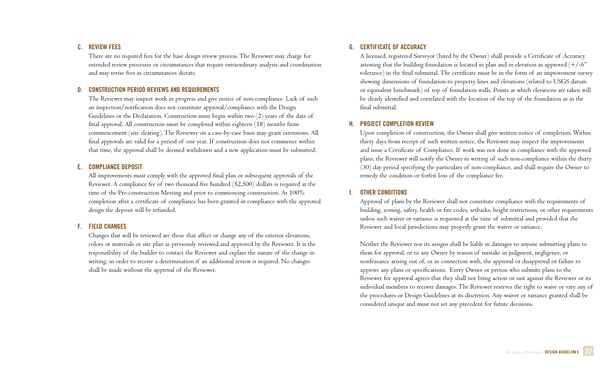# **C. REVIEW FEES**

There are no required fees for the base design review process. The Reviewer may charge for extended review processes or circumstances that require extraordinary analysis and coordination and may revise fees as circumstances dictate.

# **D. CONSTRUCTION PERIOD REVIEWS AND REQUIREMENTS**

The Reviewer may inspect work in progress and give notice of non-compliance. Lack of such an inspection/notification does not constitute approval/compliance with the Design Guidelines or the Declaration. Construction must begin within two (2) years of the date of final approval. All construction must be completed within eighteen (18) months from commencement (site clearing). The Reviewer on a case-by-case basis may grant extensions. All final approvals are valid for a period of one year. If construction does not commence within that time, the approval shall be deemed withdrawn and a new application must be submitted.

### **E. COMPLIANCE DEPOSIT**

All improvements must comply with the approved final plan or subsequent approvals of the Reviewer. A compliance fee of two thousand five hundred (\$2,500) dollars is required at the time of the Pre-construction Meeting and prior to commencing construction. At 100% completion after a certificate of compliance has been granted in compliance with the approved design the deposit will be refunded.

# **F. FIELD CHANGES**

Changes that will be reviewed are those that affect or change any of the exterior elevations, colors or materials or site plan as previously reviewed and approved by the Reviewer. It is the responsibility of the builder to contact the Reviewer and explain the nature of the change in writing, in order to receive a determination if an additional review is required. No changes shall be made without the approval of the Reviewer.

### **G. CERTIFICATE OF ACCURACY**

A licensed, registered Surveyor (hired by the Owner) shall provide a Certificate of Accuracy attesting that the building foundation is located in plan and in elevation as approved  $(+/-6")$ tolerance) in the final submittal. The certificate must be in the form of an improvement survey showing dimensions of foundation to property lines and elevations (related to USGS datum or equivalent benchmark) of top of foundation walls. Points at which elevations are taken will be clearly identified and correlated with the location of the top of the foundation as in the final submittal.

# **H. PROJECT COMPLETION REVIEW**

Upon completion of construction, the Owner shall give written notice of completion. Within thirty days from receipt of such written notice, the Reviewer may inspect the improvements and issue a Certificate of Compliance. If work was not done in compliance with the approved plans, the Reviewer will notify the Owner in writing of such non-compliance within the thirty (30) day period specifying the particulars of non-compliance, and shall require the Owner to remedy the condition or forfeit loss of the compliance fee.

### **I. OTHER CONDITIONS**

Approval of plans by the Reviewer shall not constitute compliance with the requirements of building, zoning, safety, health or fire codes, setbacks, height restrictions, or other requirements unless such waiver or variance is requested at the time of submittal and provided that the Reviewer and local jurisdictions may properly grant the waiver or variance.

Neither the Reviewer nor its assigns shall be liable in damages to anyone submitting plans to them for approval, or to any Owner by reason of mistake in judgment, negligence, or nonfeasance arising out of, or in connection with, the approval or disapproval or failure to approve any plans or specifications. Every Owner or person who submits plans to the Reviewer for approval agrees that they shall not bring action or suit against the Reviewer or its individual members to recover damages. The Reviewer reserves the right to waive or vary any of the procedures or Design Guidelines at its discretion. Any waiver or variance granted shall be considered unique and must not set any precedent for future decisions.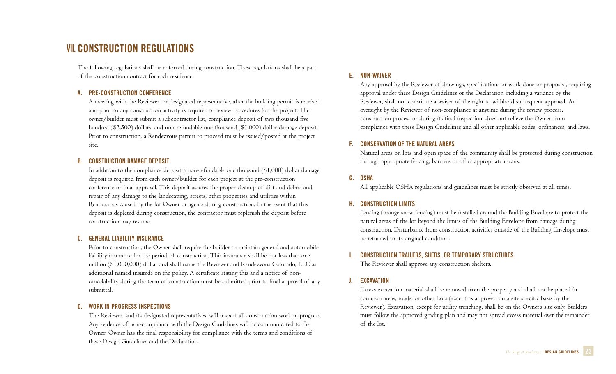# **VII. CONSTRUCTION REGULATIONS**

The following regulations shall be enforced during construction. These regulations shall be a part of the construction contract for each residence.

# **A. PRE-CONSTRUCTION CONFERENCE**

A meeting with the Reviewer, or designated representative, after the building permit is received and prior to any construction activity is required to review procedures for the project. The owner/builder must submit a subcontractor list, compliance deposit of two thousand five hundred (\$2,500) dollars, and non-refundable one thousand (\$1,000) dollar damage deposit. Prior to construction, a Rendezvous permit to proceed must be issued/posted at the project site.

#### **B. CONSTRUCTION DAMAGE DEPOSIT**

In addition to the compliance deposit a non-refundable one thousand (\$1,000) dollar damage deposit is required from each owner/builder for each project at the pre-construction conference or final approval. This deposit assures the proper cleanup of dirt and debris and repair of any damage to the landscaping, streets, other properties and utilities within Rendezvous caused by the lot Owner or agents during construction. In the event that this deposit is depleted during construction, the contractor must replenish the deposit before construction may resume.

#### **C. GENERAL LIABILITY INSURANCE**

Prior to construction, the Owner shall require the builder to maintain general and automobile liability insurance for the period of construction. This insurance shall be not less than one million (\$1,000,000) dollar and shall name the Reviewer and Rendezvous Colorado, LLC as additional named insureds on the policy. A certificate stating this and a notice of noncancelability during the term of construction must be submitted prior to final approval of any submittal.

#### **D. WORK IN PROGRESS INSPECTIONS**

The Reviewer, and its designated representatives, will inspect all construction work in progress. Any evidence of non-compliance with the Design Guidelines will be communicated to the Owner. Owner has the final responsibility for compliance with the terms and conditions of these Design Guidelines and the Declaration.

# **E. NON-WAIVER**

Any approval by the Reviewer of drawings, specifications or work done or proposed, requiring approval under these Design Guidelines or the Declaration including a variance by the Reviewer, shall not constitute a waiver of the right to withhold subsequent approval. An oversight by the Reviewer of non-compliance at anytime during the review process, construction process or during its final inspection, does not relieve the Owner from compliance with these Design Guidelines and all other applicable codes, ordinances, and laws.

### **F. CONSERVATION OF THE NATURAL AREAS**

Natural areas on lots and open space of the community shall be protected during construction through appropriate fencing, barriers or other appropriate means.

# **G. OSHA**

All applicable OSHA regulations and guidelines must be strictly observed at all times.

### **H. CONSTRUCTION LIMITS**

Fencing (orange snow fencing) must be installed around the Building Envelope to protect the natural areas of the lot beyond the limits of the Building Envelope from damage during construction. Disturbance from construction activities outside of the Building Envelope must be returned to its original condition.

### **I. CONSTRUCTION TRAILERS, SHEDS, OR TEMPORARY STRUCTURES**

The Reviewer shall approve any construction shelters.

### **J. EXCAVATION**

Excess excavation material shall be removed from the property and shall not be placed in common areas, roads, or other Lots (except as approved on a site specific basis by the Reviewer). Excavation, except for utility trenching, shall be on the Owner's site only. Builders must follow the approved grading plan and may not spread excess material over the remainder of the lot.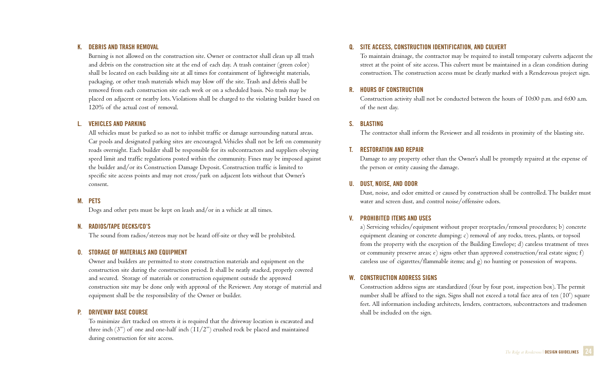# **K. DEBRIS AND TRASH REMOVAL**

Burning is not allowed on the construction site. Owner or contractor shall clean up all trash and debris on the construction site at the end of each day. A trash container (green color) shall be located on each building site at all times for containment of lightweight materials, packaging, or other trash materials which may blow off the site. Trash and debris shall be removed from each construction site each week or on a scheduled basis. No trash may be placed on adjacent or nearby lots. Violations shall be charged to the violating builder based on 120% of the actual cost of removal.

#### **L. VEHICLES AND PARKING**

All vehicles must be parked so as not to inhibit traffic or damage surrounding natural areas. Car pools and designated parking sites are encouraged. Vehicles shall not be left on community roads overnight. Each builder shall be responsible for its subcontractors and suppliers obeying speed limit and traffic regulations posted within the community. Fines may be imposed against the builder and/or its Construction Damage Deposit. Construction traffic is limited to specific site access points and may not cross/park on adjacent lots without that Owner's consent.

### **M. PETS**

Dogs and other pets must be kept on leash and/or in a vehicle at all times.

### **N. RADIOS/TAPE DECKS/CD'S**

The sound from radios/stereos may not be heard off-site or they will be prohibited.

### **O. STORAGE OF MATERIALS AND EQUIPMENT**

Owner and builders are permitted to store construction materials and equipment on the construction site during the construction period. It shall be neatly stacked, properly covered and secured. Storage of materials or construction equipment outside the approved construction site may be done only with approval of the Reviewer. Any storage of material and equipment shall be the responsibility of the Owner or builder.

### **P. DRIVEWAY BASE COURSE**

To minimize dirt tracked on streets it is required that the driveway location is excavated and three inch  $(3")$  of one and one-half inch  $(11/2")$  crushed rock be placed and maintained during construction for site access.

# **Q. SITE ACCESS, CONSTRUCTION IDENTIFICATION, AND CULVERT**

To maintain drainage, the contractor may be required to install temporary culverts adjacent the street at the point of site access. This culvert must be maintained in a clean condition during construction. The construction access must be clearly marked with a Rendezvous project sign.

# **R. HOURS OF CONSTRUCTION**

Construction activity shall not be conducted between the hours of 10:00 p.m. and 6:00 a.m. of the next day.

# **S. BLASTING**

The contractor shall inform the Reviewer and all residents in proximity of the blasting site.

# **T. RESTORATION AND REPAIR**

Damage to any property other than the Owner's shall be promptly repaired at the expense of the person or entity causing the damage.

### **U. DUST, NOISE, AND ODOR**

Dust, noise, and odor emitted or caused by construction shall be controlled. The builder must water and screen dust, and control noise/offensive odors.

# **V. PROHIBITED ITEMS AND USES**

a) Servicing vehicles/equipment without proper receptacles/removal procedures; b) concrete equipment cleaning or concrete dumping; c) removal of any rocks, trees, plants, or topsoil from the property with the exception of the Building Envelope; d) careless treatment of trees or community preserve areas; e) signs other than approved construction/real estate signs; f) careless use of cigarettes/flammable items; and g) no hunting or possession of weapons.

# **W. CONSTRUCTION ADDRESS SIGNS**

Construction address signs are standardized (four by four post, inspection box). The permit number shall be affixed to the sign. Signs shall not exceed a total face area of ten (10') square feet. All information including architects, lenders, contractors, subcontractors and tradesmen shall be included on the sign.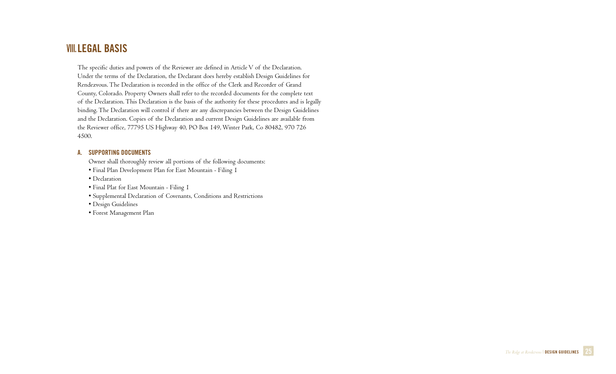# **VIII.LEGAL BASIS**

The specific duties and powers of the Reviewer are defined in Article V of the Declaration. Under the terms of the Declaration, the Declarant does hereby establish Design Guidelines for Rendezvous. The Declaration is recorded in the office of the Clerk and Recorder of Grand County, Colorado. Property Owners shall refer to the recorded documents for the complete text of the Declaration. This Declaration is the basis of the authority for these procedures and is legally binding. The Declaration will control if there are any discrepancies between the Design Guidelines and the Declaration. Copies of the Declaration and current Design Guidelines are available from the Reviewer office, 77795 US Highway 40, PO Box 149, Winter Park, Co 80482, 970 726 4500.

# **A. SUPPORTING DOCUMENTS**

Owner shall thoroughly review all portions of the following documents:

• Final Plan Development Plan for East Mountain - Filing 1

• Declaration

• Final Plat for East Mountain - Filing 1

• Supplemental Declaration of Covenants, Conditions and Restrictions

• Design Guidelines

• Forest Management Plan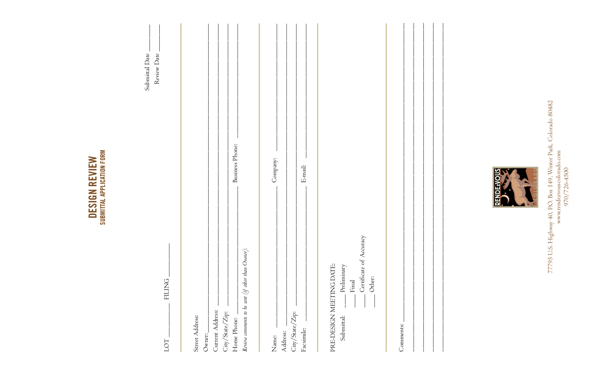| Submittal Date<br>Review Date<br><b>FILING</b> | Business Phone:<br>(if other than $O$ wner):                                                                                               | Company:<br>$\mbox{E-mail:}$                                                    | Certificate of Accuracy<br>ING DATE:<br>Preliminary<br>Other:<br>$\ensuremath{\operatorname{Final}}$ |           |
|------------------------------------------------|--------------------------------------------------------------------------------------------------------------------------------------------|---------------------------------------------------------------------------------|------------------------------------------------------------------------------------------------------|-----------|
| LOT                                            | Review comments to be sent<br>Current Address:<br>$\mathrm{City}/\mathrm{State}/\mathrm{Zip:}$<br>Street Address:<br>Home Phone:<br>Owner: | $\mathrm{City}/\mathrm{State}/\mathrm{Zip:}$<br>Facsimile:<br>Address:<br>Name: | PRE-DESIGN MEET<br>Submittal:                                                                        | Comments: |

**DESIGN REVIEW**<br>SUBMITTAL APPLICATION FORM



77795 U.S. Highway 40, P.O. Box 149, Winter Park, Colorado 80482<br>www.rendezvouscolorado.com<br>970/726-4500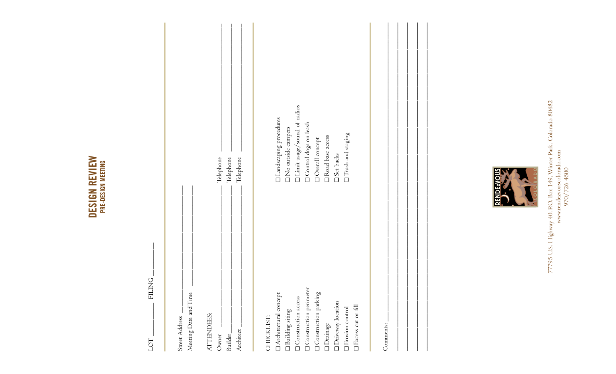| z<br>۰ | ≂              |
|--------|----------------|
|        | ھە<br>ທ        |
| r.     | w              |
|        | w              |
|        | ≃<br><u>n.</u> |
|        |                |

| <b>FILING</b><br><b>DO</b>                                                                                                                                                  |                                                                                                                                                               |
|-----------------------------------------------------------------------------------------------------------------------------------------------------------------------------|---------------------------------------------------------------------------------------------------------------------------------------------------------------|
| Meeting Date and Time<br>ATTENDEES:<br>Street Address<br>Architect<br>Builder_<br>Owner                                                                                     | Telephone<br>Telephone<br>Telephone                                                                                                                           |
| Architectural concept<br>$\Box$<br>Building siting<br>CHECKLIST:                                                                                                            | $\square$ Landscaping procedures<br><sup>1</sup> No outside campers                                                                                           |
| Onstruction perimeter<br>Onstruction parking<br><b>Construction access</b><br>Driveway location<br><b>Excess</b> cut or fill<br><b>T</b> Erosion control<br><b>Drainage</b> | I Limit usage/sound of radios<br>Ontrol dogs on leash<br>$\square$<br>Trash and staging<br><b>Q</b> Road base access<br>Overall concept<br><b>Q</b> Set backs |
| Comments:                                                                                                                                                                   |                                                                                                                                                               |



77795 U.S. Highway 40, P.O. Box 149, Winter Park, Colorado 80482<br>www.rendezvouscolorado.com<br>970/726-4500 77795 U.S. Highway 40, P.O. Box 149, Winter Park, Colorado 80482 www.rendezvouscolorado.com 970/726-4500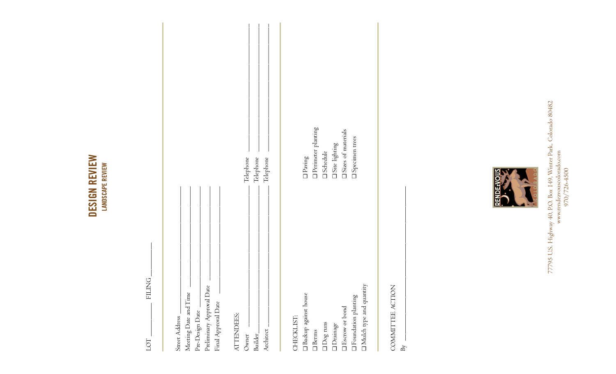# DESIGN REVIEW **DESIGN REVIEW LANDSCAPE REVIEW LANDSCAPE REVIEW**

LOT \_\_\_\_\_\_\_\_\_\_ FILING \_\_\_\_\_\_\_\_\_\_

LOT.

FILING

| Street Address.                   |                           |
|-----------------------------------|---------------------------|
| Meeting Date and Time             |                           |
| Pre-Design Date _                 |                           |
| Preliminary Approval Date         |                           |
| Final Approval Date               |                           |
|                                   |                           |
| ATTENDEES:                        |                           |
| Owner                             | Telephone                 |
| $\operatorname{Builder}_-$        | Telephone                 |
| Architect                         | Telephone                 |
|                                   |                           |
|                                   |                           |
| CHECKLIST:                        |                           |
| Backup against house              | $\Box$ Paving             |
| $\square$ Berms                   | <b>Perimeter planting</b> |
| $\Box$<br>Dog runs                | <b>O</b> Schedule         |
| $\Box$<br>Drainage                | $\Box$ Site lighting      |
| $\Box$<br><br>Escrow or bond      | Sizes of materials        |
| $\Box$<br><br>Foundation planting | <b>I</b> Specimen trees   |
| □ Mulch type and quantity         |                           |

COMMITTEE ACTION COMMITTEE ACTION

 $\mathbf{B}$ 

 $\mathbb{B}_Y$ 



77795 U.S. Highway 40, P.O. Box 149, Winter Park, Colorado 80482<br>www.rendezvouscolorado.com<br>970/726-4500 77795 U.S. Highway 40, P.O. Box 149, Winter Park, Colorado 80482 www.rendezvouscolorado.com 970/726-4500